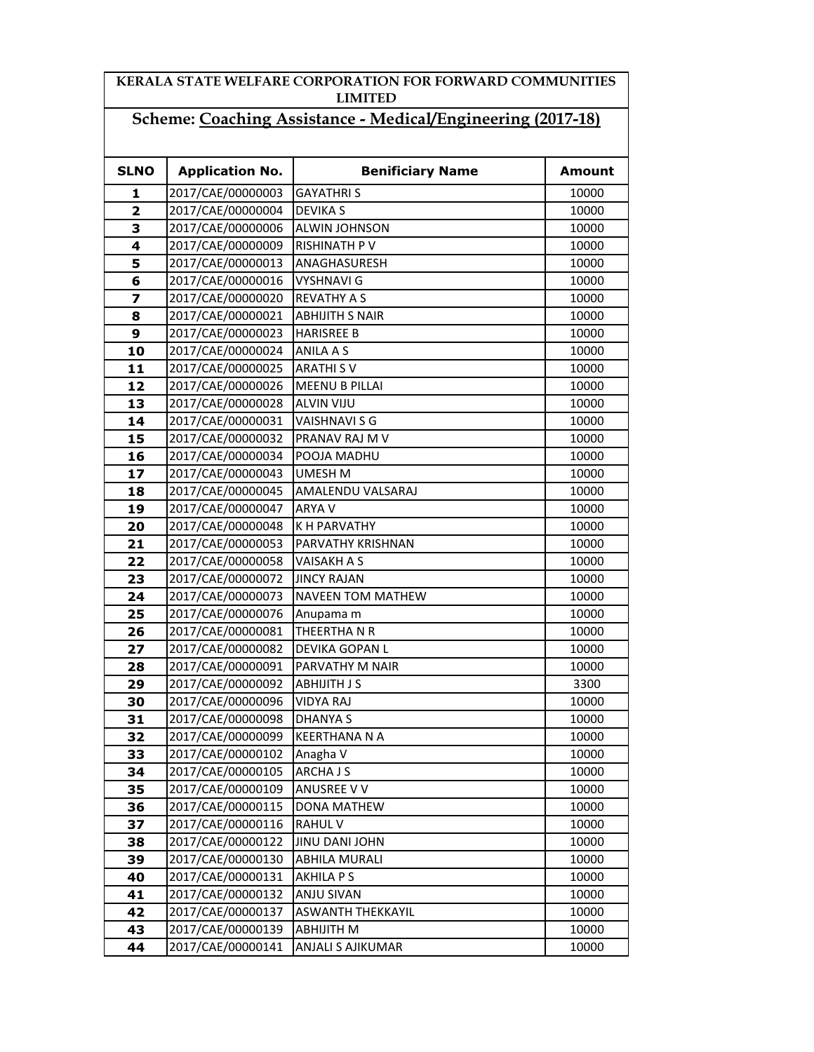## KERALA STATE WELFARE CORPORATION FOR FORWARD COMMUNITIES LIMITED

## Scheme: Coaching Assistance - Medical/Engineering (2017-18)

| <b>SLNO</b>             | <b>Application No.</b> | <b>Benificiary Name</b>  | <b>Amount</b> |
|-------------------------|------------------------|--------------------------|---------------|
| 1                       | 2017/CAE/00000003      | <b>GAYATHRIS</b>         | 10000         |
| $\overline{\mathbf{2}}$ | 2017/CAE/00000004      | <b>DEVIKA S</b>          | 10000         |
| 3                       | 2017/CAE/00000006      | <b>ALWIN JOHNSON</b>     | 10000         |
| 4                       | 2017/CAE/00000009      | <b>RISHINATH PV</b>      | 10000         |
| 5                       | 2017/CAE/00000013      | ANAGHASURESH             | 10000         |
| 6                       | 2017/CAE/00000016      | <b>VYSHNAVI G</b>        | 10000         |
| 7                       | 2017/CAE/00000020      | <b>REVATHY A S</b>       | 10000         |
| 8                       | 2017/CAE/00000021      | <b>ABHIJITH S NAIR</b>   | 10000         |
| 9                       | 2017/CAE/00000023      | <b>HARISREE B</b>        | 10000         |
| 10                      | 2017/CAE/00000024      | <b>ANILA A S</b>         | 10000         |
| 11                      | 2017/CAE/00000025      | <b>ARATHI S V</b>        | 10000         |
| 12                      | 2017/CAE/00000026      | <b>MEENU B PILLAI</b>    | 10000         |
| 13                      | 2017/CAE/00000028      | <b>ALVIN VIJU</b>        | 10000         |
| 14                      | 2017/CAE/00000031      | <b>VAISHNAVI S G</b>     | 10000         |
| 15                      | 2017/CAE/00000032      | PRANAV RAJ M V           | 10000         |
| 16                      | 2017/CAE/00000034      | POOJA MADHU              | 10000         |
| 17                      | 2017/CAE/00000043      | <b>UMESH M</b>           | 10000         |
| 18                      | 2017/CAE/00000045      | AMALENDU VALSARAJ        | 10000         |
| 19                      | 2017/CAE/00000047      | ARYA V                   | 10000         |
| 20                      | 2017/CAE/00000048      | K H PARVATHY             | 10000         |
| 21                      | 2017/CAE/00000053      | PARVATHY KRISHNAN        | 10000         |
| 22                      | 2017/CAE/00000058      | <b>VAISAKH A S</b>       | 10000         |
| 23                      | 2017/CAE/00000072      | <b>JINCY RAJAN</b>       | 10000         |
| 24                      | 2017/CAE/00000073      | <b>NAVEEN TOM MATHEW</b> | 10000         |
| 25                      | 2017/CAE/00000076      | Anupama m                | 10000         |
| 26                      | 2017/CAE/00000081      | THEERTHANR               | 10000         |
| 27                      | 2017/CAE/00000082      | <b>DEVIKA GOPAN L</b>    | 10000         |
| 28                      | 2017/CAE/00000091      | PARVATHY M NAIR          | 10000         |
| 29                      | 2017/CAE/00000092      | <b>ABHIJITH J S</b>      | 3300          |
| 30                      | 2017/CAE/00000096      | <b>VIDYA RAJ</b>         | 10000         |
| 31                      | 2017/CAE/00000098      | <b>DHANYA S</b>          | 10000         |
| 32                      | 2017/CAE/00000099      | <b>KEERTHANA N A</b>     | 10000         |
| 33                      | 2017/CAE/00000102      | Anagha V                 | 10000         |
| 34                      | 2017/CAE/00000105      | ARCHA J S                | 10000         |
| 35                      | 2017/CAE/00000109      | <b>ANUSREE V V</b>       | 10000         |
| 36                      | 2017/CAE/00000115      | DONA MATHEW              | 10000         |
| 37                      | 2017/CAE/00000116      | <b>RAHUL V</b>           | 10000         |
| 38                      | 2017/CAE/00000122      | JINU DANI JOHN           | 10000         |
| 39                      | 2017/CAE/00000130      | <b>ABHILA MURALI</b>     | 10000         |
| 40                      | 2017/CAE/00000131      | <b>AKHILA P S</b>        | 10000         |
| 41                      | 2017/CAE/00000132      | ANJU SIVAN               | 10000         |
| 42                      | 2017/CAE/00000137      | <b>ASWANTH THEKKAYIL</b> | 10000         |
| 43                      | 2017/CAE/00000139      | ABHIJITH M               | 10000         |
| 44                      | 2017/CAE/00000141      | ANJALI S AJIKUMAR        | 10000         |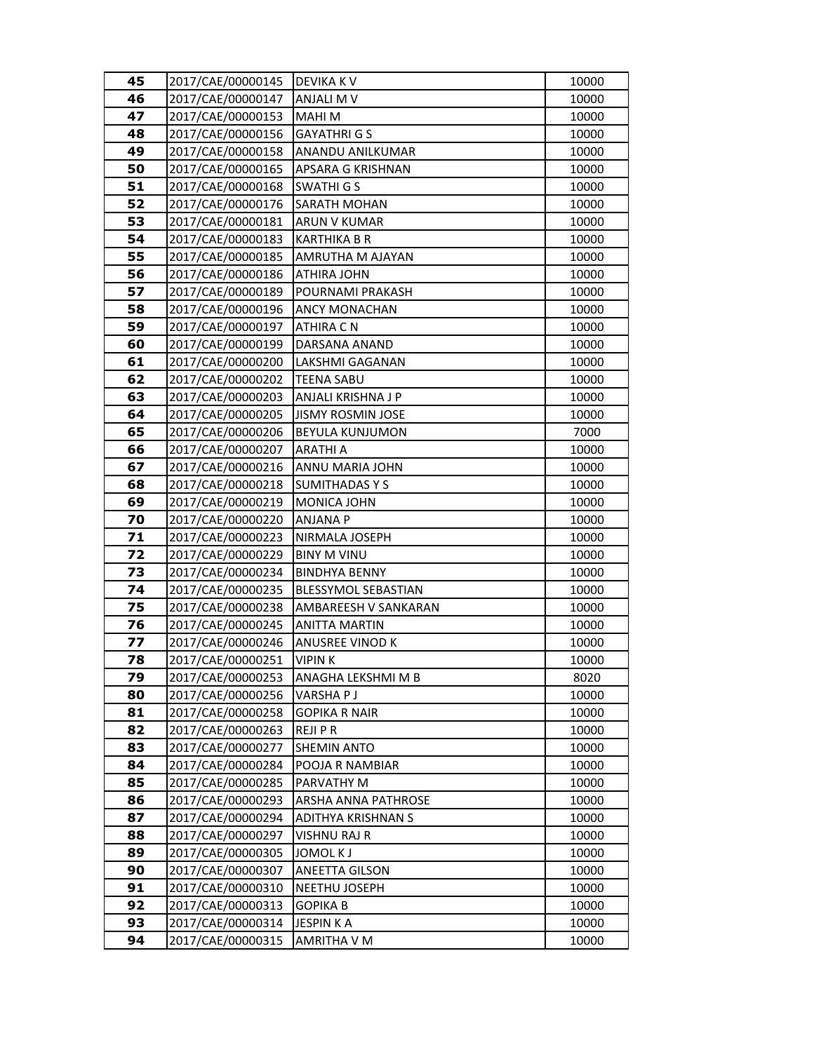| 45       | 2017/CAE/00000145                      | DEVIKA K V                     | 10000          |
|----------|----------------------------------------|--------------------------------|----------------|
| 46       | 2017/CAE/00000147                      | ANJALI M V                     | 10000          |
| 47       | 2017/CAE/00000153                      | <b>MAHIM</b>                   | 10000          |
| 48       | 2017/CAE/00000156                      | <b>GAYATHRI G S</b>            | 10000          |
| 49       | 2017/CAE/00000158                      | ANANDU ANILKUMAR               | 10000          |
| 50       | 2017/CAE/00000165                      | APSARA G KRISHNAN              | 10000          |
| 51       | 2017/CAE/00000168                      | <b>SWATHIGS</b>                | 10000          |
| 52       | 2017/CAE/00000176                      | SARATH MOHAN                   | 10000          |
| 53       | 2017/CAE/00000181                      | ARUN V KUMAR                   | 10000          |
| 54       | 2017/CAE/00000183                      | <b>KARTHIKA B R</b>            | 10000          |
| 55       | 2017/CAE/00000185                      | AMRUTHA M AJAYAN               | 10000          |
| 56       | 2017/CAE/00000186                      | ATHIRA JOHN                    | 10000          |
| 57       | 2017/CAE/00000189                      | POURNAMI PRAKASH               | 10000          |
| 58       | 2017/CAE/00000196                      | ANCY MONACHAN                  | 10000          |
| 59       | 2017/CAE/00000197                      | ATHIRA C N                     | 10000          |
| 60       | 2017/CAE/00000199                      | DARSANA ANAND                  | 10000          |
| 61       | 2017/CAE/00000200                      | LAKSHMI GAGANAN                | 10000          |
| 62       | 2017/CAE/00000202                      | <b>TEENA SABU</b>              | 10000          |
| 63       | 2017/CAE/00000203                      | ANJALI KRISHNA J P             | 10000          |
| 64       | 2017/CAE/00000205                      | <b>JISMY ROSMIN JOSE</b>       | 10000          |
| 65       | 2017/CAE/00000206                      | BEYULA KUNJUMON                | 7000           |
| 66       | 2017/CAE/00000207                      | <b>ARATHI A</b>                | 10000          |
| 67       | 2017/CAE/00000216                      | ANNU MARIA JOHN                | 10000          |
| 68       | 2017/CAE/00000218                      | <b>SUMITHADASYS</b>            | 10000          |
| 69       | 2017/CAE/00000219                      | MONICA JOHN                    | 10000          |
| 70       | 2017/CAE/00000220                      | ANJANA P                       | 10000          |
| 71       | 2017/CAE/00000223                      | NIRMALA JOSEPH                 | 10000          |
| 72       | 2017/CAE/00000229                      | <b>BINY M VINU</b>             | 10000          |
| 73       | 2017/CAE/00000234                      | <b>BINDHYA BENNY</b>           | 10000          |
| 74       | 2017/CAE/00000235                      | BLESSYMOL SEBASTIAN            | 10000          |
| 75       | 2017/CAE/00000238                      | AMBAREESH V SANKARAN           | 10000          |
| 76       | 2017/CAE/00000245                      | <b>ANITTA MARTIN</b>           | 10000          |
| 77       | 2017/CAE/00000246                      | ANUSREE VINOD K                | 10000          |
| 78       | 2017/CAE/00000251                      | VIPIN K                        | 10000          |
| 79       | 2017/CAE/00000253                      | ANAGHA LEKSHMI M B             | 8020           |
| 80       | 2017/CAE/00000256                      | VARSHA P J                     | 10000          |
| 81<br>82 | 2017/CAE/00000258<br>2017/CAE/00000263 | GOPIKA R NAIR<br><b>REJIPR</b> | 10000<br>10000 |
| 83       | 2017/CAE/00000277                      | <b>SHEMIN ANTO</b>             | 10000          |
| 84       | 2017/CAE/00000284                      | POOJA R NAMBIAR                | 10000          |
| 85       | 2017/CAE/00000285                      | PARVATHY M                     | 10000          |
| 86       | 2017/CAE/00000293                      | ARSHA ANNA PATHROSE            | 10000          |
| 87       | 2017/CAE/00000294                      | ADITHYA KRISHNAN S             | 10000          |
| 88       | 2017/CAE/00000297                      | VISHNU RAJ R                   | 10000          |
| 89       | 2017/CAE/00000305                      | <b>JOMOL KJ</b>                | 10000          |
| 90       | 2017/CAE/00000307                      | ANEETTA GILSON                 | 10000          |
| 91       | 2017/CAE/00000310                      | NEETHU JOSEPH                  | 10000          |
| 92       | 2017/CAE/00000313                      | <b>GOPIKA B</b>                | 10000          |
| 93       | 2017/CAE/00000314                      | <b>JESPINKA</b>                | 10000          |
| 94       | 2017/CAE/00000315                      | AMRITHA V M                    | 10000          |
|          |                                        |                                |                |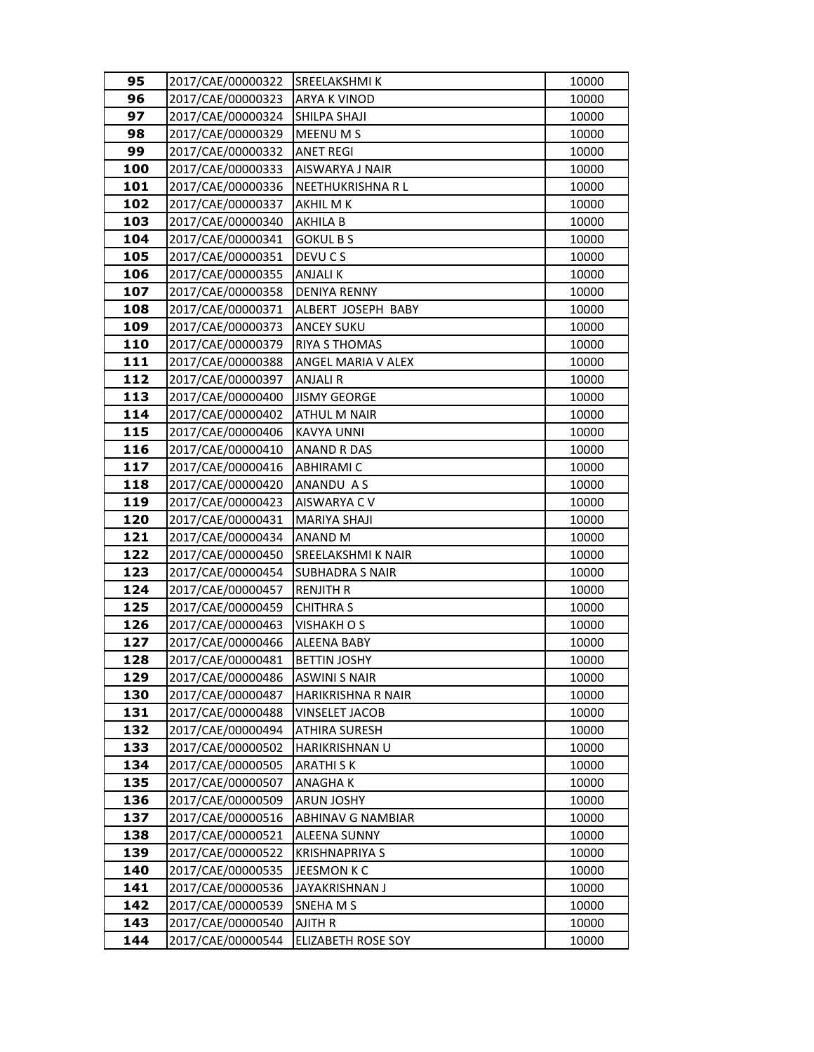| 95         | 2017/CAE/00000322                      | SREELAKSHMI K                                 | 10000          |
|------------|----------------------------------------|-----------------------------------------------|----------------|
| 96         | 2017/CAE/00000323                      | ARYA K VINOD                                  | 10000          |
| 97         | 2017/CAE/00000324                      | SHILPA SHAJI                                  | 10000          |
| 98         | 2017/CAE/00000329                      | MEENU M S                                     | 10000          |
| 99         | 2017/CAE/00000332                      | <b>ANET REGI</b>                              | 10000          |
| 100        | 2017/CAE/00000333                      | AISWARYA J NAIR                               | 10000          |
| 101        | 2017/CAE/00000336                      | NEETHUKRISHNA R L                             | 10000          |
| 102        | 2017/CAE/00000337                      | AKHIL M K                                     | 10000          |
| 103        | 2017/CAE/00000340                      | <b>AKHILA B</b>                               | 10000          |
| 104        | 2017/CAE/00000341                      | <b>GOKUL B S</b>                              | 10000          |
| 105        | 2017/CAE/00000351                      | DEVU C S                                      | 10000          |
| 106        | 2017/CAE/00000355                      | <b>ANJALIK</b>                                | 10000          |
| 107        | 2017/CAE/00000358                      | <b>DENIYA RENNY</b>                           | 10000          |
| 108        | 2017/CAE/00000371                      | ALBERT JOSEPH BABY                            | 10000          |
| 109        | 2017/CAE/00000373                      | <b>ANCEY SUKU</b>                             | 10000          |
| 110        | 2017/CAE/00000379                      | <b>RIYA S THOMAS</b>                          | 10000          |
| 111        | 2017/CAE/00000388                      | ANGEL MARIA V ALEX                            | 10000          |
| 112        | 2017/CAE/00000397                      | <b>ANJALIR</b>                                | 10000          |
| 113        | 2017/CAE/00000400                      | <b>JISMY GEORGE</b>                           | 10000          |
| 114        | 2017/CAE/00000402                      | <b>ATHUL M NAIR</b>                           | 10000          |
| 115        | 2017/CAE/00000406                      | <b>KAVYA UNNI</b>                             | 10000          |
| 116        | 2017/CAE/00000410                      | <b>ANAND R DAS</b>                            | 10000          |
| 117        | 2017/CAE/00000416                      | <b>ABHIRAMI C</b>                             | 10000          |
| 118        | 2017/CAE/00000420                      | ANANDU AS                                     | 10000          |
| 119        | 2017/CAE/00000423                      | AISWARYA C V                                  | 10000          |
| 120        | 2017/CAE/00000431                      | MARIYA SHAJI                                  | 10000          |
| 121        | 2017/CAE/00000434                      | ANAND <sub>M</sub>                            | 10000          |
| 122        | 2017/CAE/00000450                      | SREELAKSHMI K NAIR                            | 10000          |
| 123        | 2017/CAE/00000454                      | <b>SUBHADRA S NAIR</b>                        | 10000          |
| 124        | 2017/CAE/00000457                      | <b>RENJITH R</b>                              | 10000          |
| 125        | 2017/CAE/00000459                      | <b>CHITHRA S</b>                              | 10000          |
| 126        | 2017/CAE/00000463                      | <b>VISHAKH O S</b>                            | 10000          |
| 127        | 2017/CAE/00000466                      | ALEENA BABY                                   | 10000          |
| 128        | 2017/CAE/00000481                      | <b>BETTIN JOSHY</b>                           | 10000          |
| 129        | 2017/CAE/00000486                      | <b>ASWINI S NAIR</b>                          | 10000          |
| 130        | 2017/CAE/00000487<br>2017/CAE/00000488 | HARIKRISHNA R NAIR                            | 10000          |
| 131<br>132 | 2017/CAE/00000494                      | <b>VINSELET JACOB</b><br><b>ATHIRA SURESH</b> | 10000<br>10000 |
| 133        | 2017/CAE/00000502                      | HARIKRISHNAN U                                | 10000          |
| 134        | 2017/CAE/00000505                      | ARATHI S K                                    | 10000          |
| 135        | 2017/CAE/00000507                      | ANAGHA K                                      | 10000          |
| 136        | 2017/CAE/00000509                      | <b>ARUN JOSHY</b>                             | 10000          |
| 137        | 2017/CAE/00000516                      | <b>ABHINAV G NAMBIAR</b>                      | 10000          |
| 138        | 2017/CAE/00000521                      | <b>ALEENA SUNNY</b>                           | 10000          |
| 139        | 2017/CAE/00000522                      | <b>KRISHNAPRIYA S</b>                         | 10000          |
| 140        | 2017/CAE/00000535                      | JEESMON K C                                   | 10000          |
| 141        | 2017/CAE/00000536                      | JAYAKRISHNAN J                                | 10000          |
| 142        | 2017/CAE/00000539                      | SNEHAMS                                       | 10000          |
| 143        | 2017/CAE/00000540                      | AJITH R                                       | 10000          |
| 144        | 2017/CAE/00000544                      | <b>ELIZABETH ROSE SOY</b>                     | 10000          |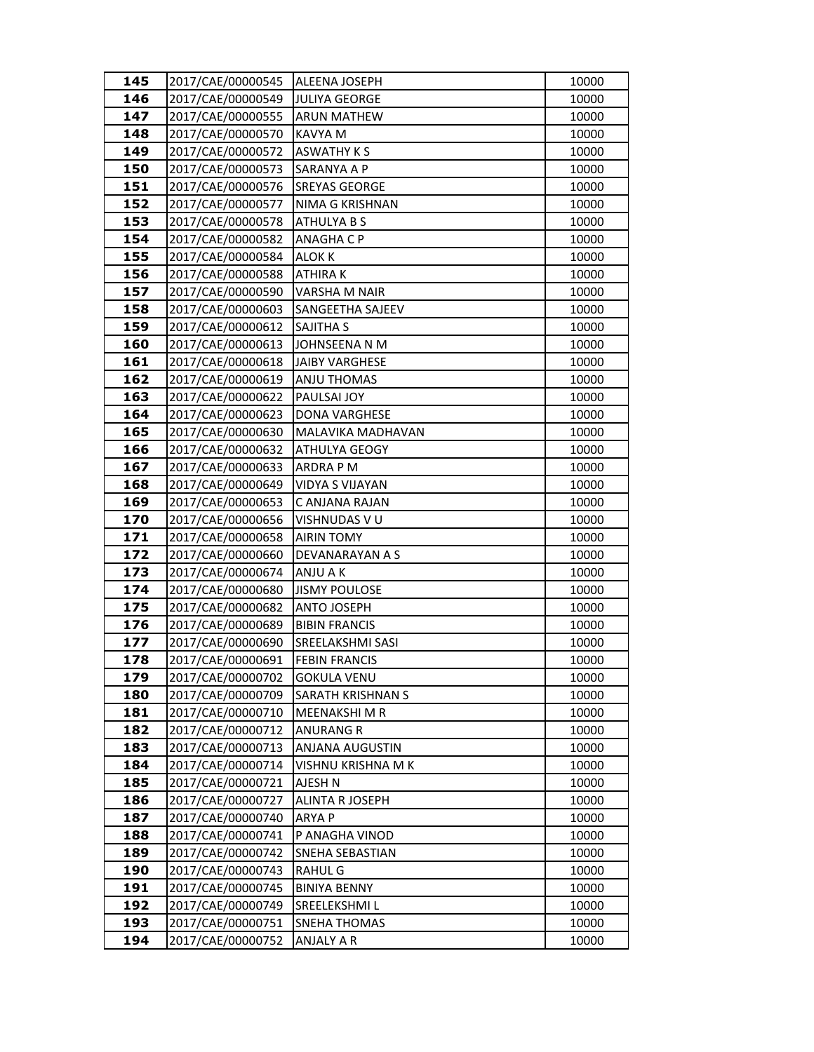| 145        | 2017/CAE/00000545                      | <b>ALEENA JOSEPH</b>              | 10000          |
|------------|----------------------------------------|-----------------------------------|----------------|
| 146        | 2017/CAE/00000549                      | <b>JULIYA GEORGE</b>              | 10000          |
| 147        | 2017/CAE/00000555                      | <b>ARUN MATHEW</b>                | 10000          |
| 148        | 2017/CAE/00000570                      | KAVYA M                           | 10000          |
| 149        | 2017/CAE/00000572                      | <b>ASWATHY KS</b>                 | 10000          |
| 150        | 2017/CAE/00000573                      | SARANYA A P                       | 10000          |
| 151        | 2017/CAE/00000576                      | <b>SREYAS GEORGE</b>              | 10000          |
| 152        | 2017/CAE/00000577                      | NIMA G KRISHNAN                   | 10000          |
| 153        | 2017/CAE/00000578                      | ATHULYA B S                       | 10000          |
| 154        | 2017/CAE/00000582                      | <b>ANAGHA C P</b>                 | 10000          |
| 155        | 2017/CAE/00000584                      | ALOK K                            | 10000          |
| 156        | 2017/CAE/00000588                      | <b>ATHIRAK</b>                    | 10000          |
| 157        | 2017/CAE/00000590                      | VARSHA M NAIR                     | 10000          |
| 158        | 2017/CAE/00000603                      | SANGEETHA SAJEEV                  | 10000          |
| 159        | 2017/CAE/00000612                      | SAJITHA S                         | 10000          |
| 160        | 2017/CAE/00000613                      | JOHNSEENA N M                     | 10000          |
| 161        | 2017/CAE/00000618                      | <b>JAIBY VARGHESE</b>             | 10000          |
| 162        | 2017/CAE/00000619                      | <b>ANJU THOMAS</b>                | 10000          |
| 163        | 2017/CAE/00000622                      | PAULSAI JOY                       | 10000          |
| 164        | 2017/CAE/00000623                      | <b>DONA VARGHESE</b>              | 10000          |
| 165        | 2017/CAE/00000630                      | MALAVIKA MADHAVAN                 | 10000          |
| 166        | 2017/CAE/00000632                      | ATHULYA GEOGY                     | 10000          |
| 167        | 2017/CAE/00000633                      | ARDRA P M                         | 10000          |
| 168        | 2017/CAE/00000649                      | VIDYA S VIJAYAN                   | 10000          |
| 169        | 2017/CAE/00000653                      | C ANJANA RAJAN                    | 10000          |
| 170        | 2017/CAE/00000656                      | VISHNUDAS V U                     | 10000          |
| 171        | 2017/CAE/00000658                      | <b>AIRIN TOMY</b>                 | 10000          |
| 172        | 2017/CAE/00000660                      | DEVANARAYAN A S                   | 10000          |
| 173        | 2017/CAE/00000674                      | ANJU A K                          | 10000          |
| 174        | 2017/CAE/00000680                      | <b>JISMY POULOSE</b>              | 10000          |
| 175        | 2017/CAE/00000682                      | <b>ANTO JOSEPH</b>                | 10000          |
| 176        | 2017/CAE/00000689                      | <b>BIBIN FRANCIS</b>              | 10000          |
| 177        | 2017/CAE/00000690                      | SREELAKSHMI SASI                  | 10000          |
| 178        | 2017/CAE/00000691                      | <b>FEBIN FRANCIS</b>              | 10000          |
| 179        | 2017/CAE/00000702                      | <b>GOKULA VENU</b>                | 10000          |
| 180        | 2017/CAE/00000709<br>2017/CAE/00000710 | SARATH KRISHNAN S                 | 10000          |
| 181<br>182 | 2017/CAE/00000712                      | MEENAKSHI M R<br><b>ANURANG R</b> | 10000<br>10000 |
| 183        | 2017/CAE/00000713                      | <b>ANJANA AUGUSTIN</b>            | 10000          |
| 184        | 2017/CAE/00000714                      | VISHNU KRISHNA M K                | 10000          |
| 185        | 2017/CAE/00000721                      | AJESH N                           | 10000          |
| 186        | 2017/CAE/00000727                      | ALINTA R JOSEPH                   | 10000          |
| 187        | 2017/CAE/00000740                      | <b>ARYA P</b>                     | 10000          |
| 188        | 2017/CAE/00000741                      | P ANAGHA VINOD                    | 10000          |
| 189        | 2017/CAE/00000742                      | SNEHA SEBASTIAN                   | 10000          |
| 190        | 2017/CAE/00000743                      | <b>RAHUL G</b>                    | 10000          |
| 191        | 2017/CAE/00000745                      | <b>BINIYA BENNY</b>               | 10000          |
| 192        | 2017/CAE/00000749                      | SREELEKSHMI L                     | 10000          |
| 193        | 2017/CAE/00000751                      | <b>SNEHA THOMAS</b>               | 10000          |
| 194        | 2017/CAE/00000752                      | ANJALY A R                        | 10000          |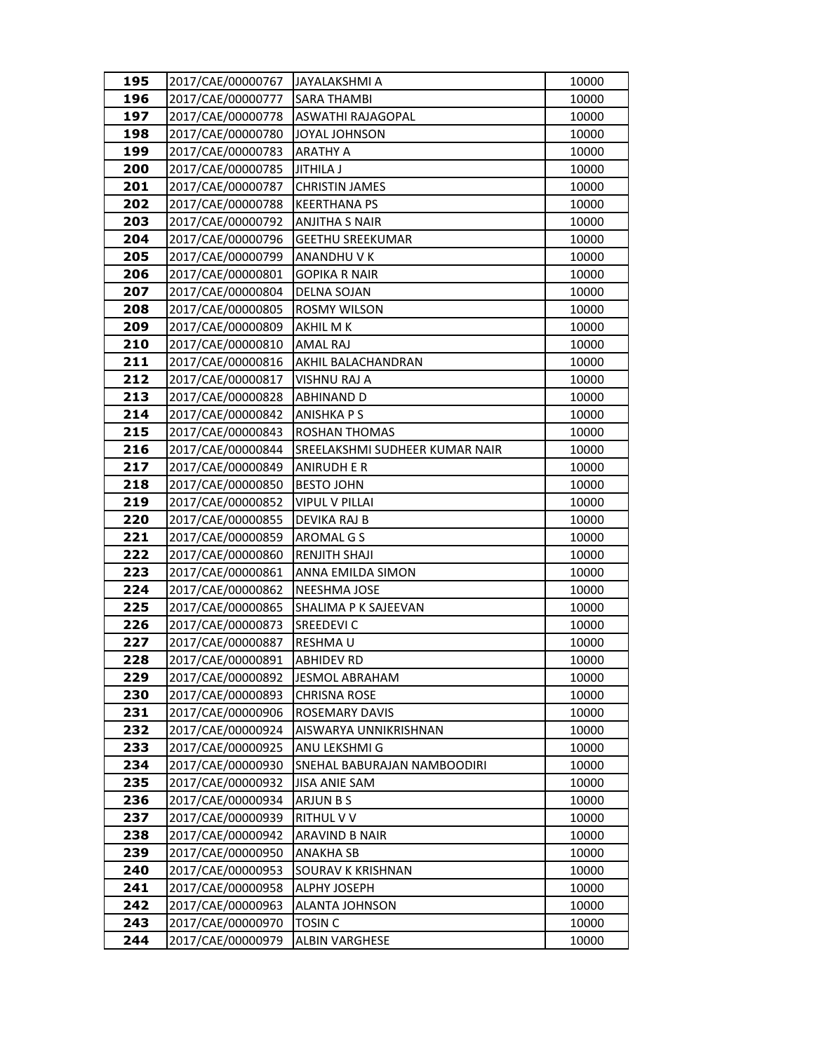| 195        | 2017/CAE/00000767                      | JAYALAKSHMI A                  | 10000          |
|------------|----------------------------------------|--------------------------------|----------------|
| 196        | 2017/CAE/00000777                      | <b>SARA THAMBI</b>             | 10000          |
| 197        | 2017/CAE/00000778                      | <b>ASWATHI RAJAGOPAL</b>       | 10000          |
| 198        | 2017/CAE/00000780                      | JOYAL JOHNSON                  | 10000          |
| 199        | 2017/CAE/00000783                      | <b>ARATHY A</b>                | 10000          |
| 200        | 2017/CAE/00000785                      | JITHILA J                      | 10000          |
| 201        | 2017/CAE/00000787                      | <b>CHRISTIN JAMES</b>          | 10000          |
| 202        | 2017/CAE/00000788                      | <b>KEERTHANA PS</b>            | 10000          |
| 203        | 2017/CAE/00000792                      | <b>ANJITHA S NAIR</b>          | 10000          |
| 204        | 2017/CAE/00000796                      | <b>GEETHU SREEKUMAR</b>        | 10000          |
| 205        | 2017/CAE/00000799                      | ANANDHU V K                    | 10000          |
| 206        | 2017/CAE/00000801                      | <b>GOPIKA R NAIR</b>           | 10000          |
| 207        | 2017/CAE/00000804                      | <b>DELNA SOJAN</b>             | 10000          |
| 208        | 2017/CAE/00000805                      | ROSMY WILSON                   | 10000          |
| 209        | 2017/CAE/00000809                      | AKHIL M K                      | 10000          |
| 210        | 2017/CAE/00000810                      | AMAL RAJ                       | 10000          |
| 211        | 2017/CAE/00000816                      | AKHIL BALACHANDRAN             | 10000          |
| 212        | 2017/CAE/00000817                      | VISHNU RAJ A                   | 10000          |
| 213        | 2017/CAE/00000828                      | <b>ABHINAND D</b>              | 10000          |
| 214        | 2017/CAE/00000842                      | <b>ANISHKA P S</b>             | 10000          |
| 215        | 2017/CAE/00000843                      | <b>ROSHAN THOMAS</b>           | 10000          |
| 216        | 2017/CAE/00000844                      | SREELAKSHMI SUDHEER KUMAR NAIR | 10000          |
| 217        | 2017/CAE/00000849                      | <b>ANIRUDH E R</b>             | 10000          |
| 218        | 2017/CAE/00000850                      | <b>BESTO JOHN</b>              | 10000          |
| 219        | 2017/CAE/00000852                      | <b>VIPUL V PILLAI</b>          | 10000          |
| 220        | 2017/CAE/00000855                      | DEVIKA RAJ B                   | 10000          |
| 221        | 2017/CAE/00000859                      | AROMAL G S                     | 10000          |
| 222        | 2017/CAE/00000860                      | <b>RENJITH SHAJI</b>           | 10000          |
| 223        | 2017/CAE/00000861                      | ANNA EMILDA SIMON              | 10000          |
| 224        | 2017/CAE/00000862                      | <b>NEESHMA JOSE</b>            | 10000          |
| 225        | 2017/CAE/00000865                      | SHALIMA P K SAJEEVAN           | 10000          |
| 226        | 2017/CAE/00000873                      | SREEDEVI C                     | 10000          |
| 227        | 2017/CAE/00000887                      | RESHMAU                        | 10000          |
| 228        | 2017/CAE/00000891                      | <b>ABHIDEV RD</b>              | 10000          |
| 229<br>230 | 2017/CAE/00000892                      | <b>JESMOL ABRAHAM</b>          | 10000          |
| 231        | 2017/CAE/00000893<br>2017/CAE/00000906 | CHRISNA ROSE<br>ROSEMARY DAVIS | 10000<br>10000 |
| 232        | 2017/CAE/00000924                      | AISWARYA UNNIKRISHNAN          | 10000          |
| 233        | 2017/CAE/00000925                      | ANU LEKSHMI G                  | 10000          |
| 234        | 2017/CAE/00000930                      | SNEHAL BABURAJAN NAMBOODIRI    | 10000          |
| 235        | 2017/CAE/00000932                      | JISA ANIE SAM                  | 10000          |
| 236        | 2017/CAE/00000934                      | <b>ARJUN B S</b>               | 10000          |
| 237        | 2017/CAE/00000939                      | <b>RITHUL V V</b>              | 10000          |
| 238        | 2017/CAE/00000942                      | ARAVIND B NAIR                 | 10000          |
| 239        | 2017/CAE/00000950                      | ANAKHA SB                      | 10000          |
| 240        | 2017/CAE/00000953                      | SOURAV K KRISHNAN              | 10000          |
| 241        | 2017/CAE/00000958                      | ALPHY JOSEPH                   | 10000          |
| 242        | 2017/CAE/00000963                      | <b>ALANTA JOHNSON</b>          | 10000          |
| 243        | 2017/CAE/00000970                      | <b>TOSIN C</b>                 | 10000          |
| 244        | 2017/CAE/00000979                      | ALBIN VARGHESE                 | 10000          |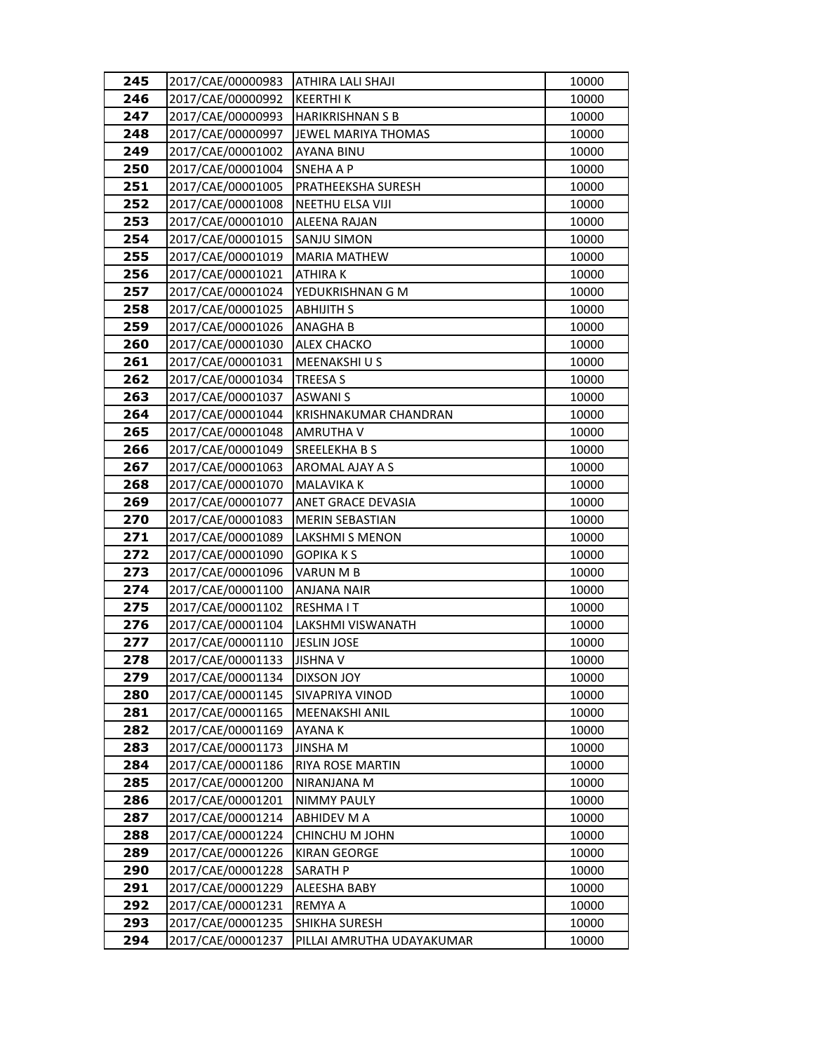| 245        | 2017/CAE/00000983                      | ATHIRA LALI SHAJI            | 10000          |
|------------|----------------------------------------|------------------------------|----------------|
| 246        | 2017/CAE/00000992                      | <b>KEERTHIK</b>              | 10000          |
| 247        | 2017/CAE/00000993                      | <b>HARIKRISHNAN S B</b>      | 10000          |
| 248        | 2017/CAE/00000997                      | JEWEL MARIYA THOMAS          | 10000          |
| 249        | 2017/CAE/00001002                      | <b>AYANA BINU</b>            | 10000          |
| 250        | 2017/CAE/00001004                      | SNEHA A P                    | 10000          |
| 251        | 2017/CAE/00001005                      | PRATHEEKSHA SURESH           | 10000          |
| 252        | 2017/CAE/00001008                      | NEETHU ELSA VIJI             | 10000          |
| 253        | 2017/CAE/00001010                      | <b>ALEENA RAJAN</b>          | 10000          |
| 254        | 2017/CAE/00001015                      | SANJU SIMON                  | 10000          |
| 255        | 2017/CAE/00001019                      | <b>MARIA MATHEW</b>          | 10000          |
| 256        | 2017/CAE/00001021                      | <b>ATHIRAK</b>               | 10000          |
| 257        | 2017/CAE/00001024                      | YEDUKRISHNAN G M             | 10000          |
| 258        | 2017/CAE/00001025                      | <b>ABHIJITH S</b>            | 10000          |
| 259        | 2017/CAE/00001026                      | <b>ANAGHA B</b>              | 10000          |
| 260        | 2017/CAE/00001030                      | <b>ALEX CHACKO</b>           | 10000          |
| 261        | 2017/CAE/00001031                      | MEENAKSHI U S                | 10000          |
| 262        | 2017/CAE/00001034                      | <b>TREESA S</b>              | 10000          |
| 263        | 2017/CAE/00001037                      | <b>ASWANIS</b>               | 10000          |
| 264        | 2017/CAE/00001044                      | <b>KRISHNAKUMAR CHANDRAN</b> | 10000          |
| 265        | 2017/CAE/00001048                      | AMRUTHA V                    | 10000          |
| 266        | 2017/CAE/00001049                      | <b>SREELEKHABS</b>           | 10000          |
| 267        | 2017/CAE/00001063                      | AROMAL AJAY A S              | 10000          |
| 268        | 2017/CAE/00001070                      | MALAVIKA K                   | 10000          |
| 269        | 2017/CAE/00001077                      | ANET GRACE DEVASIA           | 10000          |
| 270        | 2017/CAE/00001083                      | <b>MERIN SEBASTIAN</b>       | 10000          |
| 271        | 2017/CAE/00001089                      | LAKSHMI S MENON              | 10000          |
| 272        | 2017/CAE/00001090                      | <b>GOPIKAKS</b>              | 10000          |
| 273        | 2017/CAE/00001096                      | VARUN M B                    | 10000          |
| 274        | 2017/CAE/00001100                      | <b>ANJANA NAIR</b>           | 10000          |
| 275        | 2017/CAE/00001102                      | <b>RESHMAIT</b>              | 10000          |
| 276        | 2017/CAE/00001104                      | LAKSHMI VISWANATH            | 10000          |
| 277        | 2017/CAE/00001110                      | <b>JESLIN JOSE</b>           | 10000          |
| 278        | 2017/CAE/00001133                      | <b>JISHNA V</b>              | 10000          |
| 279        | 2017/CAE/00001134                      | DIXSON JOY                   | 10000          |
| 280        | 2017/CAE/00001145                      | SIVAPRIYA VINOD              | 10000          |
| 281<br>282 | 2017/CAE/00001165<br>2017/CAE/00001169 | MEENAKSHI ANIL<br>AYANA K    | 10000<br>10000 |
| 283        | 2017/CAE/00001173                      | <b>JINSHA M</b>              | 10000          |
| 284        | 2017/CAE/00001186                      | RIYA ROSE MARTIN             | 10000          |
| 285        | 2017/CAE/00001200                      | NIRANJANA M                  | 10000          |
| 286        | 2017/CAE/00001201                      | NIMMY PAULY                  | 10000          |
| 287        | 2017/CAE/00001214                      | <b>ABHIDEV M A</b>           | 10000          |
| 288        | 2017/CAE/00001224                      | CHINCHU M JOHN               | 10000          |
| 289        | 2017/CAE/00001226                      | <b>KIRAN GEORGE</b>          | 10000          |
| 290        | 2017/CAE/00001228                      | SARATH P                     | 10000          |
| 291        | 2017/CAE/00001229                      | ALEESHA BABY                 | 10000          |
| 292        | 2017/CAE/00001231                      | <b>REMYAA</b>                | 10000          |
| 293        | 2017/CAE/00001235                      | SHIKHA SURESH                | 10000          |
| 294        | 2017/CAE/00001237                      | PILLAI AMRUTHA UDAYAKUMAR    | 10000          |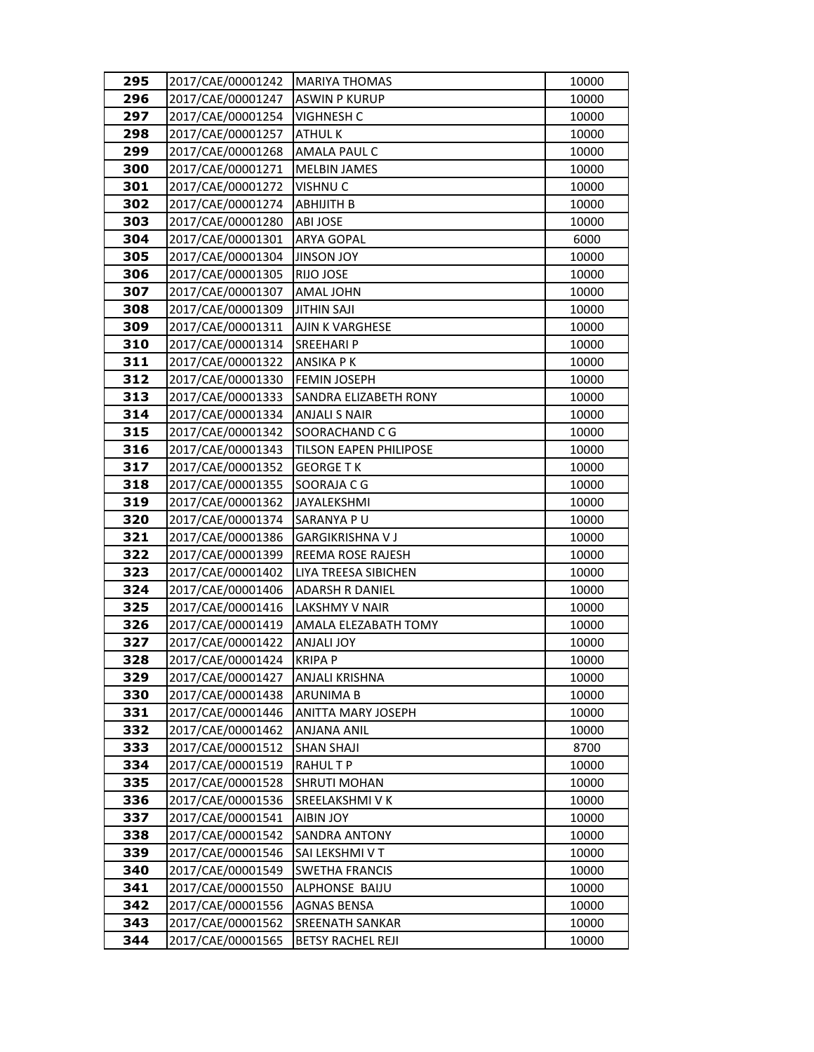| 295        | 2017/CAE/00001242                      | <b>MARIYA THOMAS</b>             | 10000          |
|------------|----------------------------------------|----------------------------------|----------------|
| 296        | 2017/CAE/00001247                      | <b>ASWIN P KURUP</b>             | 10000          |
| 297        | 2017/CAE/00001254                      | VIGHNESH C                       | 10000          |
| 298        | 2017/CAE/00001257                      | <b>ATHULK</b>                    | 10000          |
| 299        | 2017/CAE/00001268                      | AMALA PAUL C                     | 10000          |
| 300        | 2017/CAE/00001271                      | <b>MELBIN JAMES</b>              | 10000          |
| 301        | 2017/CAE/00001272                      | <b>VISHNU C</b>                  | 10000          |
| 302        | 2017/CAE/00001274                      | <b>ABHIJITH B</b>                | 10000          |
| 303        | 2017/CAE/00001280                      | <b>ABI JOSE</b>                  | 10000          |
| 304        | 2017/CAE/00001301                      | <b>ARYA GOPAL</b>                | 6000           |
| 305        | 2017/CAE/00001304                      | <b>YOL VOZINL</b>                | 10000          |
| 306        | 2017/CAE/00001305                      | <b>RIJO JOSE</b>                 | 10000          |
| 307        | 2017/CAE/00001307                      | <b>AMAL JOHN</b>                 | 10000          |
| 308        | 2017/CAE/00001309                      | <b>JITHIN SAJI</b>               | 10000          |
| 309        | 2017/CAE/00001311                      | <b>AJIN K VARGHESE</b>           | 10000          |
| 310        | 2017/CAE/00001314                      | SREEHARI P                       | 10000          |
| 311        | 2017/CAE/00001322                      | <b>ANSIKA PK</b>                 | 10000          |
| 312        | 2017/CAE/00001330                      | <b>FEMIN JOSEPH</b>              | 10000          |
| 313        | 2017/CAE/00001333                      | SANDRA ELIZABETH RONY            | 10000          |
| 314        | 2017/CAE/00001334                      | <b>ANJALI S NAIR</b>             | 10000          |
| 315        | 2017/CAE/00001342                      | SOORACHAND C G                   | 10000          |
| 316        | 2017/CAE/00001343                      | <b>TILSON EAPEN PHILIPOSE</b>    | 10000          |
| 317        | 2017/CAE/00001352                      | <b>GEORGE TK</b>                 | 10000          |
| 318        | 2017/CAE/00001355                      | SOORAJA C G                      | 10000          |
| 319        | 2017/CAE/00001362                      | JAYALEKSHMI                      | 10000          |
| 320        | 2017/CAE/00001374                      | SARANYA PU                       | 10000          |
| 321        | 2017/CAE/00001386                      | <b>GARGIKRISHNA V J</b>          | 10000          |
| 322        | 2017/CAE/00001399                      | REEMA ROSE RAJESH                | 10000          |
| 323        | 2017/CAE/00001402                      | LIYA TREESA SIBICHEN             | 10000          |
| 324        | 2017/CAE/00001406                      | <b>ADARSH R DANIEL</b>           | 10000          |
| 325        | 2017/CAE/00001416                      | LAKSHMY V NAIR                   | 10000          |
| 326        | 2017/CAE/00001419                      | AMALA ELEZABATH TOMY             | 10000          |
| 327        | 2017/CAE/00001422                      | <b>ANJALI JOY</b>                | 10000          |
| 328        | 2017/CAE/00001424                      | <b>KRIPAP</b>                    | 10000          |
| 329        | 2017/CAE/00001427                      | ANJALI KRISHNA                   | 10000          |
| 330        | 2017/CAE/00001438                      | ARUNIMA B                        | 10000          |
| 331        | 2017/CAE/00001446<br>2017/CAE/00001462 | ANITTA MARY JOSEPH               | 10000<br>10000 |
| 332<br>333 | 2017/CAE/00001512                      | ANJANA ANIL<br><b>SHAN SHAJI</b> | 8700           |
| 334        | 2017/CAE/00001519                      | <b>RAHULTP</b>                   | 10000          |
| 335        | 2017/CAE/00001528                      | SHRUTI MOHAN                     | 10000          |
| 336        | 2017/CAE/00001536                      | <b>SREELAKSHMIVK</b>             | 10000          |
| 337        | 2017/CAE/00001541                      | <b>AIBIN JOY</b>                 | 10000          |
| 338        | 2017/CAE/00001542                      | <b>SANDRA ANTONY</b>             | 10000          |
| 339        | 2017/CAE/00001546                      | SAI LEKSHMI V T                  | 10000          |
| 340        | 2017/CAE/00001549                      | <b>SWETHA FRANCIS</b>            | 10000          |
| 341        | 2017/CAE/00001550                      | ALPHONSE BAIJU                   | 10000          |
| 342        | 2017/CAE/00001556                      | <b>AGNAS BENSA</b>               | 10000          |
| 343        | 2017/CAE/00001562                      | SREENATH SANKAR                  | 10000          |
| 344        | 2017/CAE/00001565                      | <b>BETSY RACHEL REJI</b>         | 10000          |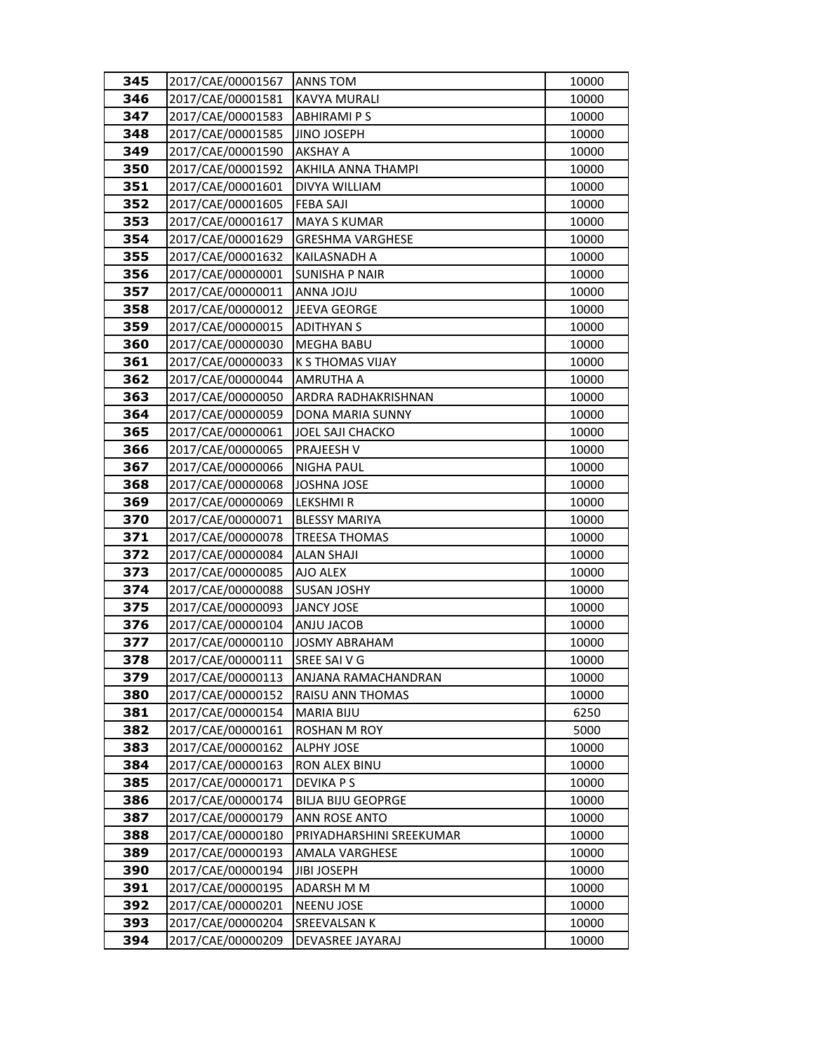| 345        | 2017/CAE/00001567                      | <b>ANNS TOM</b>                          | 10000        |
|------------|----------------------------------------|------------------------------------------|--------------|
| 346        | 2017/CAE/00001581                      | <b>KAVYA MURALI</b>                      | 10000        |
| 347        | 2017/CAE/00001583                      | <b>ABHIRAMI PS</b>                       | 10000        |
| 348        | 2017/CAE/00001585                      | <b>JINO JOSEPH</b>                       | 10000        |
| 349        | 2017/CAE/00001590                      | AKSHAY A                                 | 10000        |
| 350        | 2017/CAE/00001592                      | AKHILA ANNA THAMPI                       | 10000        |
| 351        | 2017/CAE/00001601                      | DIVYA WILLIAM                            | 10000        |
| 352        | 2017/CAE/00001605                      | <b>FEBA SAJI</b>                         | 10000        |
| 353        | 2017/CAE/00001617                      | <b>MAYA S KUMAR</b>                      | 10000        |
| 354        | 2017/CAE/00001629                      | <b>GRESHMA VARGHESE</b>                  | 10000        |
| 355        | 2017/CAE/00001632                      | KAILASNADH A                             | 10000        |
| 356        | 2017/CAE/00000001                      | <b>SUNISHA P NAIR</b>                    | 10000        |
| 357        | 2017/CAE/00000011                      | <b>UIOL ANNA</b>                         | 10000        |
| 358        | 2017/CAE/00000012                      | JEEVA GEORGE                             | 10000        |
| 359        | 2017/CAE/00000015                      | <b>ADITHYAN S</b>                        | 10000        |
| 360        | 2017/CAE/00000030                      | <b>MEGHA BABU</b>                        | 10000        |
| 361        | 2017/CAE/00000033                      | K S THOMAS VIJAY                         | 10000        |
| 362        | 2017/CAE/00000044                      | <b>AMRUTHA A</b>                         | 10000        |
| 363        | 2017/CAE/00000050                      | ARDRA RADHAKRISHNAN                      | 10000        |
| 364        | 2017/CAE/00000059                      | DONA MARIA SUNNY                         | 10000        |
| 365        | 2017/CAE/00000061                      | <b>JOEL SAJI CHACKO</b>                  | 10000        |
| 366        | 2017/CAE/00000065                      | PRAJEESH V                               | 10000        |
| 367        | 2017/CAE/00000066                      | <b>NIGHA PAUL</b>                        | 10000        |
| 368        | 2017/CAE/00000068                      | <b>JOSHNA JOSE</b>                       | 10000        |
| 369        | 2017/CAE/00000069                      | LEKSHMI R                                | 10000        |
| 370        | 2017/CAE/00000071                      | <b>BLESSY MARIYA</b>                     | 10000        |
| 371        | 2017/CAE/00000078                      | <b>TREESA THOMAS</b>                     | 10000        |
| 372        | 2017/CAE/00000084                      | <b>ALAN SHAJI</b>                        | 10000        |
| 373        | 2017/CAE/00000085                      | AJO ALEX                                 | 10000        |
| 374        | 2017/CAE/00000088                      | <b>SUSAN JOSHY</b>                       | 10000        |
| 375        | 2017/CAE/00000093                      | <b>JANCY JOSE</b>                        | 10000        |
| 376        | 2017/CAE/00000104                      | ANJU JACOB                               | 10000        |
| 377        | 2017/CAE/00000110                      | <b>JOSMY ABRAHAM</b>                     | 10000        |
| 378        | 2017/CAE/00000111                      | SREE SAIVG                               | 10000        |
| 379        | 2017/CAE/00000113                      | ANJANA RAMACHANDRAN                      | 10000        |
| 380        | 2017/CAE/00000152                      | RAISU ANN THOMAS                         | 10000        |
| 381<br>382 | 2017/CAE/00000154<br>2017/CAE/00000161 | <b>MARIA BIJU</b><br><b>ROSHAN M ROY</b> | 6250<br>5000 |
| 383        | 2017/CAE/00000162                      | <b>ALPHY JOSE</b>                        | 10000        |
| 384        | 2017/CAE/00000163                      | RON ALEX BINU                            | 10000        |
| 385        | 2017/CAE/00000171                      | DEVIKA P S                               | 10000        |
| 386        | 2017/CAE/00000174                      | <b>BILJA BIJU GEOPRGE</b>                | 10000        |
| 387        | 2017/CAE/00000179                      | ANN ROSE ANTO                            | 10000        |
| 388        | 2017/CAE/00000180                      | PRIYADHARSHINI SREEKUMAR                 | 10000        |
| 389        | 2017/CAE/00000193                      | <b>AMALA VARGHESE</b>                    | 10000        |
| 390        | 2017/CAE/00000194                      | JIBI JOSEPH                              | 10000        |
| 391        | 2017/CAE/00000195                      | ADARSH M M                               | 10000        |
| 392        | 2017/CAE/00000201                      | <b>NEENU JOSE</b>                        | 10000        |
| 393        | 2017/CAE/00000204                      | SREEVALSAN K                             | 10000        |
| 394        | 2017/CAE/00000209                      | DEVASREE JAYARAJ                         | 10000        |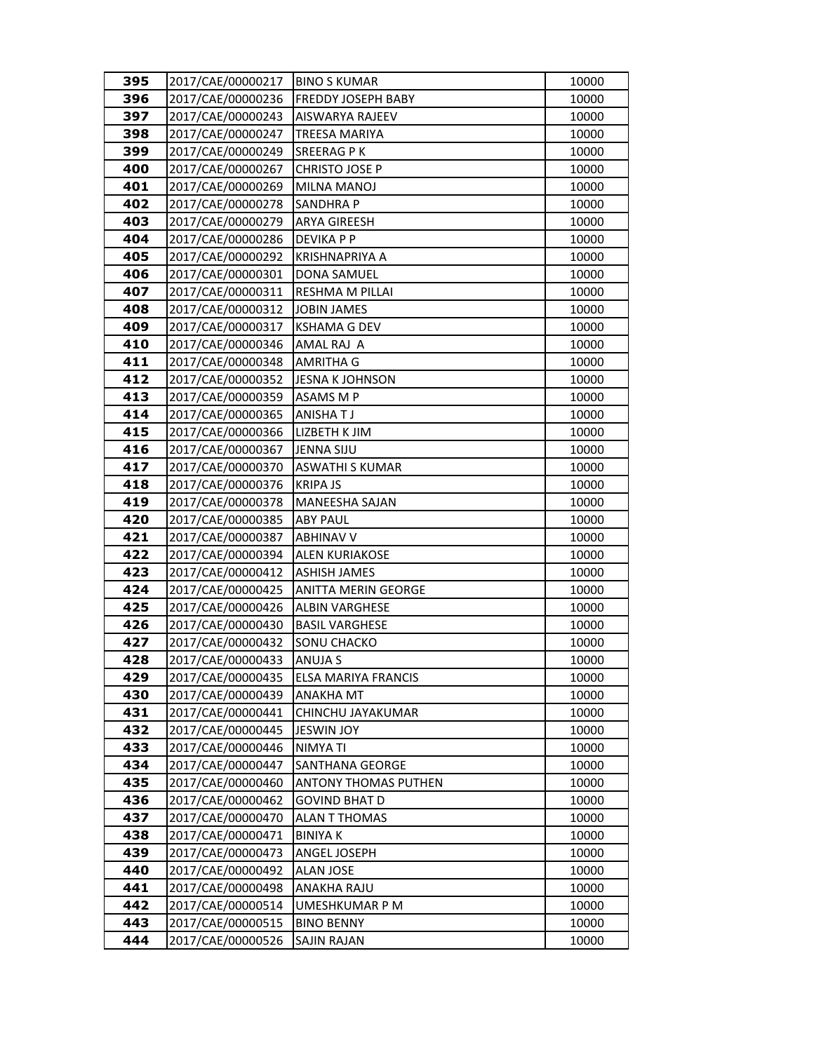| 395 | 2017/CAE/00000217 | <b>BINO S KUMAR</b>         | 10000 |
|-----|-------------------|-----------------------------|-------|
| 396 | 2017/CAE/00000236 | FREDDY JOSEPH BABY          | 10000 |
| 397 | 2017/CAE/00000243 | AISWARYA RAJEEV             | 10000 |
| 398 | 2017/CAE/00000247 | <b>TREESA MARIYA</b>        | 10000 |
| 399 | 2017/CAE/00000249 | <b>SREERAGPK</b>            | 10000 |
| 400 | 2017/CAE/00000267 | <b>CHRISTO JOSE P</b>       | 10000 |
| 401 | 2017/CAE/00000269 | MILNA MANOJ                 | 10000 |
| 402 | 2017/CAE/00000278 | <b>SANDHRAP</b>             | 10000 |
| 403 | 2017/CAE/00000279 | <b>ARYA GIREESH</b>         | 10000 |
| 404 | 2017/CAE/00000286 | DEVIKA P P                  | 10000 |
| 405 | 2017/CAE/00000292 | <b>KRISHNAPRIYA A</b>       | 10000 |
| 406 | 2017/CAE/00000301 | DONA SAMUEL                 | 10000 |
| 407 | 2017/CAE/00000311 | RESHMA M PILLAI             | 10000 |
| 408 | 2017/CAE/00000312 | <b>JOBIN JAMES</b>          | 10000 |
| 409 | 2017/CAE/00000317 | <b>KSHAMA G DEV</b>         | 10000 |
| 410 | 2017/CAE/00000346 | AMAL RAJ A                  | 10000 |
| 411 | 2017/CAE/00000348 | AMRITHA G                   | 10000 |
| 412 | 2017/CAE/00000352 | <b>JESNA K JOHNSON</b>      | 10000 |
| 413 | 2017/CAE/00000359 | ASAMS M P                   | 10000 |
| 414 | 2017/CAE/00000365 | <b>ANISHATJ</b>             | 10000 |
| 415 | 2017/CAE/00000366 | LIZBETH K JIM               | 10000 |
| 416 | 2017/CAE/00000367 | <b>JENNA SIJU</b>           | 10000 |
| 417 | 2017/CAE/00000370 | <b>ASWATHI S KUMAR</b>      | 10000 |
| 418 | 2017/CAE/00000376 | <b>KRIPA JS</b>             | 10000 |
| 419 | 2017/CAE/00000378 | <b>MANEESHA SAJAN</b>       | 10000 |
| 420 | 2017/CAE/00000385 | <b>ABY PAUL</b>             | 10000 |
| 421 | 2017/CAE/00000387 | <b>ABHINAV V</b>            | 10000 |
| 422 | 2017/CAE/00000394 | <b>ALEN KURIAKOSE</b>       | 10000 |
| 423 | 2017/CAE/00000412 | <b>ASHISH JAMES</b>         | 10000 |
| 424 | 2017/CAE/00000425 | ANITTA MERIN GEORGE         | 10000 |
| 425 | 2017/CAE/00000426 | <b>ALBIN VARGHESE</b>       | 10000 |
| 426 | 2017/CAE/00000430 | <b>BASIL VARGHESE</b>       | 10000 |
| 427 | 2017/CAE/00000432 | SONU CHACKO                 | 10000 |
| 428 | 2017/CAE/00000433 | ANUJA S                     | 10000 |
| 429 | 2017/CAE/00000435 | ELSA MARIYA FRANCIS         | 10000 |
| 430 | 2017/CAE/00000439 | ANAKHA MT                   | 10000 |
| 431 | 2017/CAE/00000441 | CHINCHU JAYAKUMAR           | 10000 |
| 432 | 2017/CAE/00000445 | <b>JESWIN JOY</b>           | 10000 |
| 433 | 2017/CAE/00000446 | NIMYA TI                    | 10000 |
| 434 | 2017/CAE/00000447 | SANTHANA GEORGE             | 10000 |
| 435 | 2017/CAE/00000460 | <b>ANTONY THOMAS PUTHEN</b> | 10000 |
| 436 | 2017/CAE/00000462 | GOVIND BHAT D               | 10000 |
| 437 | 2017/CAE/00000470 | <b>ALAN T THOMAS</b>        | 10000 |
| 438 | 2017/CAE/00000471 | <b>BINIYAK</b>              | 10000 |
| 439 | 2017/CAE/00000473 | ANGEL JOSEPH                | 10000 |
| 440 | 2017/CAE/00000492 | ALAN JOSE                   | 10000 |
| 441 | 2017/CAE/00000498 | ANAKHA RAJU                 | 10000 |
| 442 | 2017/CAE/00000514 | UMESHKUMAR P M              | 10000 |
| 443 | 2017/CAE/00000515 | <b>BINO BENNY</b>           | 10000 |
| 444 | 2017/CAE/00000526 | SAJIN RAJAN                 | 10000 |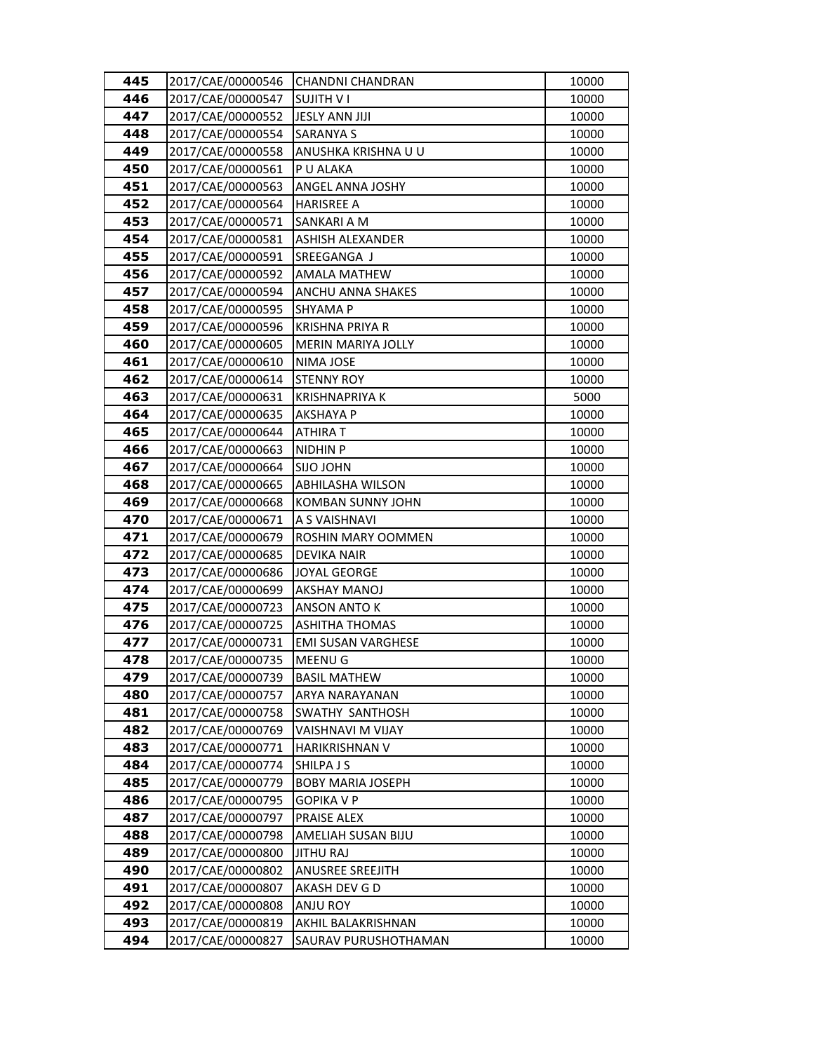| 445 | 2017/CAE/00000546 | <b>CHANDNI CHANDRAN</b>   | 10000 |
|-----|-------------------|---------------------------|-------|
| 446 | 2017/CAE/00000547 | <b>SUJITH VI</b>          | 10000 |
| 447 | 2017/CAE/00000552 | <b>JESLY ANN JIJI</b>     | 10000 |
| 448 | 2017/CAE/00000554 | <b>SARANYA S</b>          | 10000 |
| 449 | 2017/CAE/00000558 | ANUSHKA KRISHNA U U       | 10000 |
| 450 | 2017/CAE/00000561 | P U ALAKA                 | 10000 |
| 451 | 2017/CAE/00000563 | ANGEL ANNA JOSHY          | 10000 |
| 452 | 2017/CAE/00000564 | <b>HARISREE A</b>         | 10000 |
| 453 | 2017/CAE/00000571 | SANKARI A M               | 10000 |
| 454 | 2017/CAE/00000581 | <b>ASHISH ALEXANDER</b>   | 10000 |
| 455 | 2017/CAE/00000591 | SREEGANGA J               | 10000 |
| 456 | 2017/CAE/00000592 | <b>AMALA MATHEW</b>       | 10000 |
| 457 | 2017/CAE/00000594 | ANCHU ANNA SHAKES         | 10000 |
| 458 | 2017/CAE/00000595 | SHYAMA P                  | 10000 |
| 459 | 2017/CAE/00000596 | KRISHNA PRIYA R           | 10000 |
| 460 | 2017/CAE/00000605 | MERIN MARIYA JOLLY        | 10000 |
| 461 | 2017/CAE/00000610 | NIMA JOSE                 | 10000 |
| 462 | 2017/CAE/00000614 | <b>STENNY ROY</b>         | 10000 |
| 463 | 2017/CAE/00000631 | <b>KRISHNAPRIYA K</b>     | 5000  |
| 464 | 2017/CAE/00000635 | <b>AKSHAYA P</b>          | 10000 |
| 465 | 2017/CAE/00000644 | ATHIRA T                  | 10000 |
| 466 | 2017/CAE/00000663 | <b>NIDHIN P</b>           | 10000 |
| 467 | 2017/CAE/00000664 | <b>SIJO JOHN</b>          | 10000 |
| 468 | 2017/CAE/00000665 | <b>ABHILASHA WILSON</b>   | 10000 |
| 469 | 2017/CAE/00000668 | <b>KOMBAN SUNNY JOHN</b>  | 10000 |
| 470 | 2017/CAE/00000671 | A S VAISHNAVI             | 10000 |
| 471 | 2017/CAE/00000679 | ROSHIN MARY OOMMEN        | 10000 |
| 472 | 2017/CAE/00000685 | <b>DEVIKA NAIR</b>        | 10000 |
| 473 | 2017/CAE/00000686 | <b>JOYAL GEORGE</b>       | 10000 |
| 474 | 2017/CAE/00000699 | <b>AKSHAY MANOJ</b>       | 10000 |
| 475 | 2017/CAE/00000723 | ANSON ANTO K              | 10000 |
| 476 | 2017/CAE/00000725 | <b>ASHITHA THOMAS</b>     | 10000 |
| 477 | 2017/CAE/00000731 | <b>EMI SUSAN VARGHESE</b> | 10000 |
| 478 | 2017/CAE/00000735 | MEENU G                   | 10000 |
| 479 | 2017/CAE/00000739 | <b>BASIL MATHEW</b>       | 10000 |
| 480 | 2017/CAE/00000757 | ARYA NARAYANAN            | 10000 |
| 481 | 2017/CAE/00000758 | SWATHY SANTHOSH           | 10000 |
| 482 | 2017/CAE/00000769 | VAISHNAVI M VIJAY         | 10000 |
| 483 | 2017/CAE/00000771 | HARIKRISHNAN V            | 10000 |
| 484 | 2017/CAE/00000774 | SHILPA J S                | 10000 |
| 485 | 2017/CAE/00000779 | <b>BOBY MARIA JOSEPH</b>  | 10000 |
| 486 | 2017/CAE/00000795 | GOPIKA V P                | 10000 |
| 487 | 2017/CAE/00000797 | PRAISE ALEX               | 10000 |
| 488 | 2017/CAE/00000798 | AMELIAH SUSAN BIJU        | 10000 |
| 489 | 2017/CAE/00000800 | <b>JITHU RAJ</b>          | 10000 |
| 490 | 2017/CAE/00000802 | <b>ANUSREE SREEJITH</b>   | 10000 |
| 491 | 2017/CAE/00000807 | AKASH DEV G D             | 10000 |
| 492 | 2017/CAE/00000808 | <b>ANJU ROY</b>           | 10000 |
| 493 | 2017/CAE/00000819 | AKHIL BALAKRISHNAN        | 10000 |
| 494 | 2017/CAE/00000827 | SAURAV PURUSHOTHAMAN      | 10000 |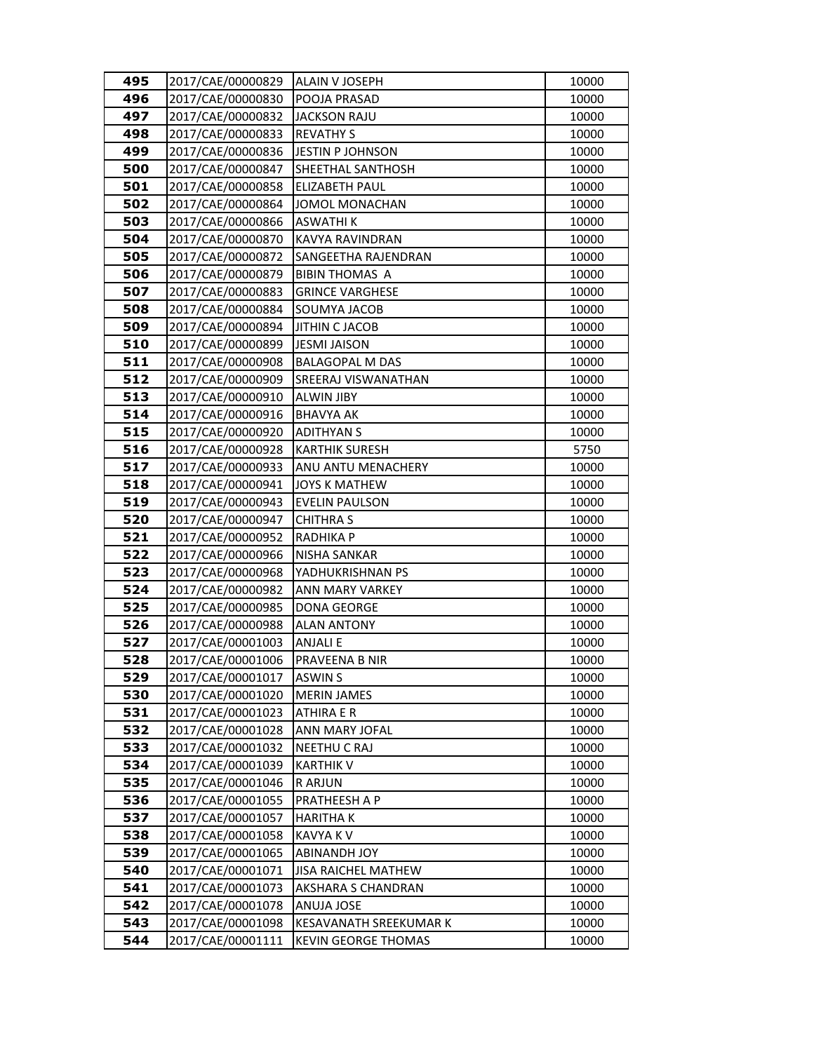| 495        | 2017/CAE/00000829                      | ALAIN V JOSEPH                          | 10000          |
|------------|----------------------------------------|-----------------------------------------|----------------|
| 496        | 2017/CAE/00000830                      | POOJA PRASAD                            | 10000          |
| 497        | 2017/CAE/00000832                      | <b>JACKSON RAJU</b>                     | 10000          |
| 498        | 2017/CAE/00000833                      | <b>REVATHY S</b>                        | 10000          |
| 499        | 2017/CAE/00000836                      | JESTIN P JOHNSON                        | 10000          |
| 500        | 2017/CAE/00000847                      | SHEETHAL SANTHOSH                       | 10000          |
| 501        | 2017/CAE/00000858                      | ELIZABETH PAUL                          | 10000          |
| 502        | 2017/CAE/00000864                      | JOMOL MONACHAN                          | 10000          |
| 503        | 2017/CAE/00000866                      | <b>ASWATHIK</b>                         | 10000          |
| 504        | 2017/CAE/00000870                      | KAVYA RAVINDRAN                         | 10000          |
| 505        | 2017/CAE/00000872                      | SANGEETHA RAJENDRAN                     | 10000          |
| 506        | 2017/CAE/00000879                      | <b>BIBIN THOMAS A</b>                   | 10000          |
| 507        | 2017/CAE/00000883                      | <b>GRINCE VARGHESE</b>                  | 10000          |
| 508        | 2017/CAE/00000884                      | SOUMYA JACOB                            | 10000          |
| 509        | 2017/CAE/00000894                      | <b>JITHIN C JACOB</b>                   | 10000          |
| 510        | 2017/CAE/00000899                      | <b>JESMI JAISON</b>                     | 10000          |
| 511        | 2017/CAE/00000908                      | <b>BALAGOPAL M DAS</b>                  | 10000          |
| 512        | 2017/CAE/00000909                      | SREERAJ VISWANATHAN                     | 10000          |
| 513        | 2017/CAE/00000910                      | <b>ALWIN JIBY</b>                       | 10000          |
| 514        | 2017/CAE/00000916                      | <b>BHAVYA AK</b>                        | 10000          |
| 515        | 2017/CAE/00000920                      | <b>ADITHYAN S</b>                       | 10000          |
| 516        | 2017/CAE/00000928                      | <b>KARTHIK SURESH</b>                   | 5750           |
| 517        | 2017/CAE/00000933                      | ANU ANTU MENACHERY                      | 10000          |
| 518        | 2017/CAE/00000941                      | <b>JOYS K MATHEW</b>                    | 10000          |
| 519        | 2017/CAE/00000943                      | <b>EVELIN PAULSON</b>                   | 10000          |
| 520        | 2017/CAE/00000947                      | <b>CHITHRA S</b>                        | 10000          |
| 521        | 2017/CAE/00000952                      | <b>RADHIKA P</b>                        | 10000          |
| 522        | 2017/CAE/00000966                      | <b>NISHA SANKAR</b>                     | 10000          |
| 523        | 2017/CAE/00000968                      | YADHUKRISHNAN PS                        | 10000          |
| 524        | 2017/CAE/00000982                      | ANN MARY VARKEY                         | 10000          |
| 525        | 2017/CAE/00000985                      | DONA GEORGE                             | 10000          |
| 526        | 2017/CAE/00000988                      | <b>ALAN ANTONY</b>                      | 10000          |
| 527        | 2017/CAE/00001003                      | <b>ANJALI E</b>                         | 10000          |
| 528        | 2017/CAE/00001006                      | PRAVEENA B NIR                          | 10000          |
| 529        | 2017/CAE/00001017<br>2017/CAE/00001020 | <b>ASWIN S</b>                          | 10000          |
| 530<br>531 | 2017/CAE/00001023                      | <b>MERIN JAMES</b><br><b>ATHIRA E R</b> | 10000<br>10000 |
| 532        | 2017/CAE/00001028                      | ANN MARY JOFAL                          | 10000          |
| 533        | 2017/CAE/00001032                      | <b>NEETHU C RAJ</b>                     | 10000          |
| 534        | 2017/CAE/00001039                      | <b>KARTHIK V</b>                        | 10000          |
| 535        | 2017/CAE/00001046                      | <b>RARJUN</b>                           | 10000          |
| 536        | 2017/CAE/00001055                      | PRATHEESH A P                           | 10000          |
| 537        | 2017/CAE/00001057                      | <b>HARITHAK</b>                         | 10000          |
| 538        | 2017/CAE/00001058                      | <b>KAVYA K V</b>                        | 10000          |
| 539        | 2017/CAE/00001065                      | <b>ABINANDH JOY</b>                     | 10000          |
| 540        | 2017/CAE/00001071                      | <b>JISA RAICHEL MATHEW</b>              | 10000          |
| 541        | 2017/CAE/00001073                      | AKSHARA S CHANDRAN                      | 10000          |
| 542        | 2017/CAE/00001078                      | ANUJA JOSE                              | 10000          |
| 543        | 2017/CAE/00001098                      | <b>KESAVANATH SREEKUMAR K</b>           | 10000          |
| 544        | 2017/CAE/00001111                      | <b>KEVIN GEORGE THOMAS</b>              | 10000          |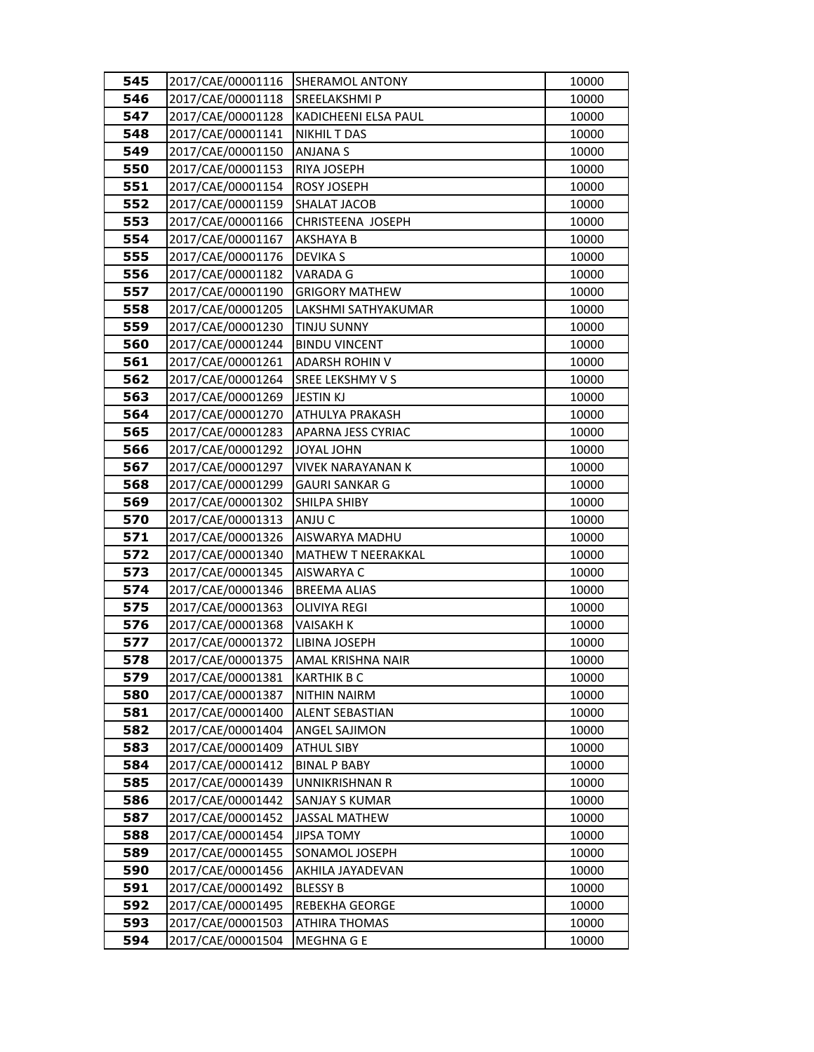| 545        | 2017/CAE/00001116                      | SHERAMOL ANTONY                        | 10000          |
|------------|----------------------------------------|----------------------------------------|----------------|
| 546        | 2017/CAE/00001118                      | SREELAKSHMI P                          | 10000          |
| 547        | 2017/CAE/00001128                      | KADICHEENI ELSA PAUL                   | 10000          |
| 548        | 2017/CAE/00001141                      | <b>NIKHIL T DAS</b>                    | 10000          |
| 549        | 2017/CAE/00001150                      | <b>ANJANA S</b>                        | 10000          |
| 550        | 2017/CAE/00001153                      | RIYA JOSEPH                            | 10000          |
| 551        | 2017/CAE/00001154                      | ROSY JOSEPH                            | 10000          |
| 552        | 2017/CAE/00001159                      | <b>SHALAT JACOB</b>                    | 10000          |
| 553        | 2017/CAE/00001166                      | CHRISTEENA JOSEPH                      | 10000          |
| 554        | 2017/CAE/00001167                      | AKSHAYA B                              | 10000          |
| 555        | 2017/CAE/00001176                      | <b>DEVIKA S</b>                        | 10000          |
| 556        | 2017/CAE/00001182                      | VARADA G                               | 10000          |
| 557        | 2017/CAE/00001190                      | <b>GRIGORY MATHEW</b>                  | 10000          |
| 558        | 2017/CAE/00001205                      | LAKSHMI SATHYAKUMAR                    | 10000          |
| 559        | 2017/CAE/00001230                      | <b>TINJU SUNNY</b>                     | 10000          |
| 560        | 2017/CAE/00001244                      | <b>BINDU VINCENT</b>                   | 10000          |
| 561        | 2017/CAE/00001261                      | <b>ADARSH ROHIN V</b>                  | 10000          |
| 562        | 2017/CAE/00001264                      | SREE LEKSHMY V S                       | 10000          |
| 563        | 2017/CAE/00001269                      | <b>JESTIN KJ</b>                       | 10000          |
| 564        | 2017/CAE/00001270                      | ATHULYA PRAKASH                        | 10000          |
| 565        | 2017/CAE/00001283                      | APARNA JESS CYRIAC                     | 10000          |
| 566        | 2017/CAE/00001292                      | <b>JOYAL JOHN</b>                      | 10000          |
| 567        | 2017/CAE/00001297                      | <b>VIVEK NARAYANAN K</b>               | 10000          |
| 568        | 2017/CAE/00001299                      | <b>GAURI SANKAR G</b>                  | 10000          |
| 569        | 2017/CAE/00001302                      | SHILPA SHIBY                           | 10000          |
| 570        | 2017/CAE/00001313                      | ANJU C                                 | 10000          |
| 571        | 2017/CAE/00001326                      | AISWARYA MADHU                         | 10000          |
| 572        | 2017/CAE/00001340                      | MATHEW T NEERAKKAL                     | 10000          |
| 573        | 2017/CAE/00001345                      | AISWARYA C                             | 10000          |
| 574        | 2017/CAE/00001346                      | <b>BREEMA ALIAS</b>                    | 10000          |
| 575        | 2017/CAE/00001363                      | <b>OLIVIYA REGI</b>                    | 10000          |
| 576        | 2017/CAE/00001368                      | <b>VAISAKH K</b>                       | 10000          |
| 577        | 2017/CAE/00001372                      | LIBINA JOSEPH                          | 10000          |
| 578        | 2017/CAE/00001375<br>2017/CAE/00001381 | AMAL KRISHNA NAIR                      | 10000          |
| 579<br>580 | 2017/CAE/00001387                      | <b>KARTHIK B C</b>                     | 10000          |
| 581        | 2017/CAE/00001400                      | <b>NITHIN NAIRM</b><br>ALENT SEBASTIAN | 10000<br>10000 |
| 582        | 2017/CAE/00001404                      | ANGEL SAJIMON                          | 10000          |
| 583        | 2017/CAE/00001409                      | <b>ATHUL SIBY</b>                      | 10000          |
| 584        | 2017/CAE/00001412                      | <b>BINAL P BABY</b>                    | 10000          |
| 585        | 2017/CAE/00001439                      | UNNIKRISHNAN R                         | 10000          |
| 586        | 2017/CAE/00001442                      | SANJAY S KUMAR                         | 10000          |
| 587        | 2017/CAE/00001452                      | <b>JASSAL MATHEW</b>                   | 10000          |
| 588        | 2017/CAE/00001454                      | <b>JIPSA TOMY</b>                      | 10000          |
| 589        | 2017/CAE/00001455                      | SONAMOL JOSEPH                         | 10000          |
| 590        | 2017/CAE/00001456                      | AKHILA JAYADEVAN                       | 10000          |
| 591        | 2017/CAE/00001492                      | <b>BLESSY B</b>                        | 10000          |
| 592        | 2017/CAE/00001495                      | REBEKHA GEORGE                         | 10000          |
| 593        | 2017/CAE/00001503                      | ATHIRA THOMAS                          | 10000          |
| 594        | 2017/CAE/00001504                      | MEGHNA G E                             | 10000          |